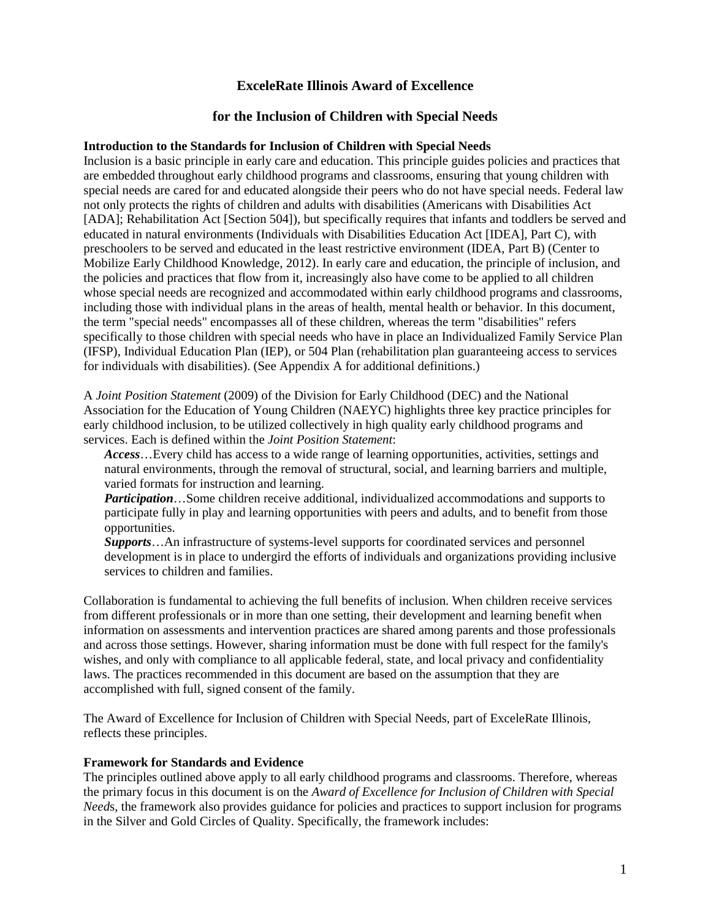# **ExceleRate Illinois Award of Excellence**

#### **for the Inclusion of Children with Special Needs**

#### **Introduction to the Standards for Inclusion of Children with Special Needs**

Inclusion is a basic principle in early care and education. This principle guides policies and practices that are embedded throughout early childhood programs and classrooms, ensuring that young children with special needs are cared for and educated alongside their peers who do not have special needs. Federal law not only protects the rights of children and adults with disabilities (Americans with Disabilities Act [ADA]; Rehabilitation Act [Section 504]), but specifically requires that infants and toddlers be served and educated in natural environments (Individuals with Disabilities Education Act [IDEA], Part C), with preschoolers to be served and educated in the least restrictive environment (IDEA, Part B) (Center to Mobilize Early Childhood Knowledge, 2012). In early care and education, the principle of inclusion, and the policies and practices that flow from it, increasingly also have come to be applied to all children whose special needs are recognized and accommodated within early childhood programs and classrooms, including those with individual plans in the areas of health, mental health or behavior. In this document, the term "special needs" encompasses all of these children, whereas the term "disabilities" refers specifically to those children with special needs who have in place an Individualized Family Service Plan (IFSP), Individual Education Plan (IEP), or 504 Plan (rehabilitation plan guaranteeing access to services for individuals with disabilities). (See Appendix A for additional definitions.)

A *Joint Position Statement* (2009) of the Division for Early Childhood (DEC) and the National Association for the Education of Young Children (NAEYC) highlights three key practice principles for early childhood inclusion, to be utilized collectively in high quality early childhood programs and services. Each is defined within the *Joint Position Statement*:

*Access*…Every child has access to a wide range of learning opportunities, activities, settings and natural environments, through the removal of structural, social, and learning barriers and multiple, varied formats for instruction and learning.

*Participation*…Some children receive additional, individualized accommodations and supports to participate fully in play and learning opportunities with peers and adults, and to benefit from those opportunities.

*Supports*…An infrastructure of systems-level supports for coordinated services and personnel development is in place to undergird the efforts of individuals and organizations providing inclusive services to children and families.

Collaboration is fundamental to achieving the full benefits of inclusion. When children receive services from different professionals or in more than one setting, their development and learning benefit when information on assessments and intervention practices are shared among parents and those professionals and across those settings. However, sharing information must be done with full respect for the family's wishes, and only with compliance to all applicable federal, state, and local privacy and confidentiality laws. The practices recommended in this document are based on the assumption that they are accomplished with full, signed consent of the family.

The Award of Excellence for Inclusion of Children with Special Needs, part of ExceleRate Illinois, reflects these principles.

#### **Framework for Standards and Evidence**

The principles outlined above apply to all early childhood programs and classrooms. Therefore, whereas the primary focus in this document is on the *Award of Excellence for Inclusion of Children with Special Need*s, the framework also provides guidance for policies and practices to support inclusion for programs in the Silver and Gold Circles of Quality. Specifically, the framework includes: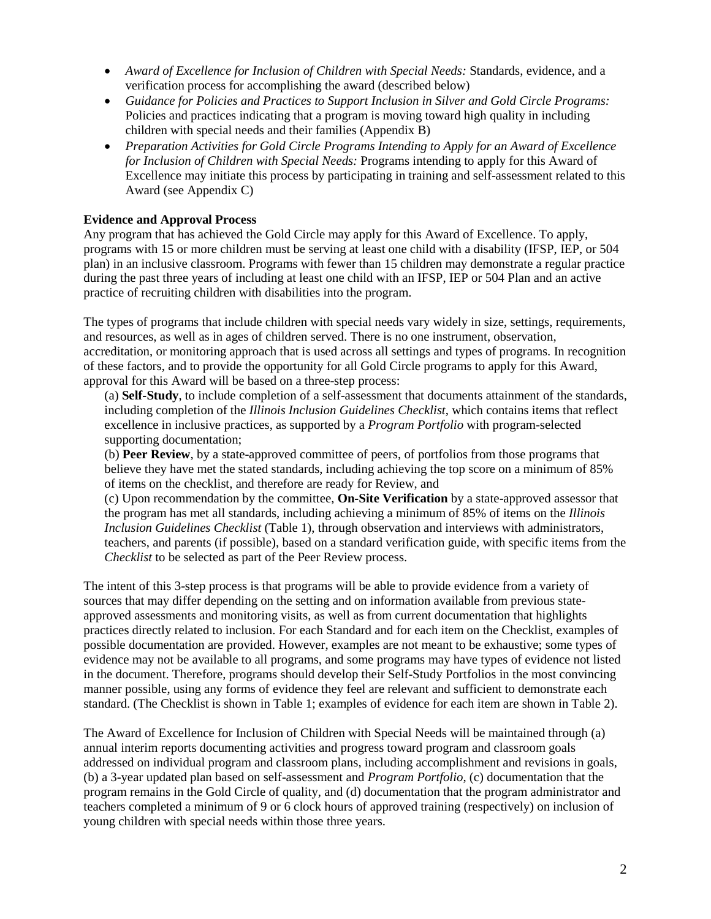- *Award of Excellence for Inclusion of Children with Special Needs:* Standards, evidence, and a verification process for accomplishing the award (described below)
- *Guidance for Policies and Practices to Support Inclusion in Silver and Gold Circle Programs:*  Policies and practices indicating that a program is moving toward high quality in including children with special needs and their families (Appendix B)
- *Preparation Activities for Gold Circle Programs Intending to Apply for an Award of Excellence for Inclusion of Children with Special Needs:* Programs intending to apply for this Award of Excellence may initiate this process by participating in training and self-assessment related to this Award (see Appendix C)

# **Evidence and Approval Process**

Any program that has achieved the Gold Circle may apply for this Award of Excellence. To apply, programs with 15 or more children must be serving at least one child with a disability (IFSP, IEP, or 504 plan) in an inclusive classroom. Programs with fewer than 15 children may demonstrate a regular practice during the past three years of including at least one child with an IFSP, IEP or 504 Plan and an active practice of recruiting children with disabilities into the program.

The types of programs that include children with special needs vary widely in size, settings, requirements, and resources, as well as in ages of children served. There is no one instrument, observation, accreditation, or monitoring approach that is used across all settings and types of programs. In recognition of these factors, and to provide the opportunity for all Gold Circle programs to apply for this Award, approval for this Award will be based on a three-step process:

(a) **Self-Study**, to include completion of a self-assessment that documents attainment of the standards, including completion of the *Illinois Inclusion Guidelines Checklist*, which contains items that reflect excellence in inclusive practices, as supported by a *Program Portfolio* with program-selected supporting documentation;

(b) **Peer Review**, by a state-approved committee of peers, of portfolios from those programs that believe they have met the stated standards, including achieving the top score on a minimum of 85% of items on the checklist, and therefore are ready for Review, and

(c) Upon recommendation by the committee, **On-Site Verification** by a state-approved assessor that the program has met all standards, including achieving a minimum of 85% of items on the *Illinois Inclusion Guidelines Checklist* (Table 1), through observation and interviews with administrators, teachers, and parents (if possible), based on a standard verification guide, with specific items from the *Checklist* to be selected as part of the Peer Review process.

The intent of this 3-step process is that programs will be able to provide evidence from a variety of sources that may differ depending on the setting and on information available from previous stateapproved assessments and monitoring visits, as well as from current documentation that highlights practices directly related to inclusion. For each Standard and for each item on the Checklist, examples of possible documentation are provided. However, examples are not meant to be exhaustive; some types of evidence may not be available to all programs, and some programs may have types of evidence not listed in the document. Therefore, programs should develop their Self-Study Portfolios in the most convincing manner possible, using any forms of evidence they feel are relevant and sufficient to demonstrate each standard. (The Checklist is shown in Table 1; examples of evidence for each item are shown in Table 2).

The Award of Excellence for Inclusion of Children with Special Needs will be maintained through (a) annual interim reports documenting activities and progress toward program and classroom goals addressed on individual program and classroom plans, including accomplishment and revisions in goals, (b) a 3-year updated plan based on self-assessment and *Program Portfolio*, (c) documentation that the program remains in the Gold Circle of quality, and (d) documentation that the program administrator and teachers completed a minimum of 9 or 6 clock hours of approved training (respectively) on inclusion of young children with special needs within those three years.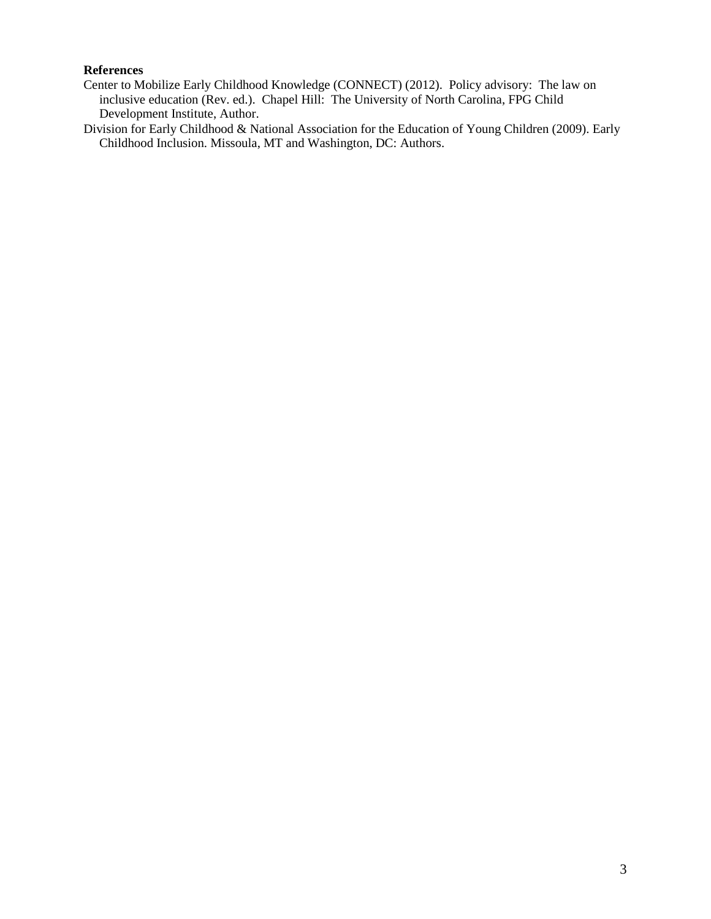# **References**

Center to Mobilize Early Childhood Knowledge (CONNECT) (2012). Policy advisory: The law on inclusive education (Rev. ed.). Chapel Hill: The University of North Carolina, FPG Child Development Institute, Author.

Division for Early Childhood & National Association for the Education of Young Children (2009). Early Childhood Inclusion. Missoula, MT and Washington, DC: Authors.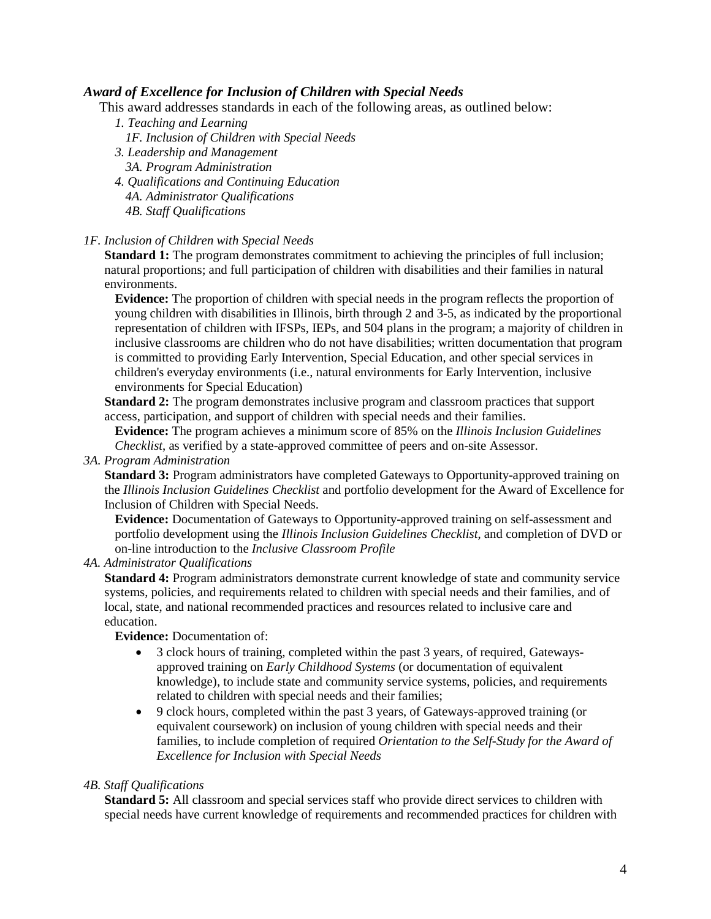# *Award of Excellence for Inclusion of Children with Special Needs*

This award addresses standards in each of the following areas, as outlined below:

- *1. Teaching and Learning*
	- *1F. Inclusion of Children with Special Needs*
- *3. Leadership and Management 3A. Program Administration*
- *4. Qualifications and Continuing Education*
	- *4A. Administrator Qualifications*
	- *4B. Staff Qualifications*

#### *1F. Inclusion of Children with Special Needs*

**Standard 1:** The program demonstrates commitment to achieving the principles of full inclusion; natural proportions; and full participation of children with disabilities and their families in natural environments.

**Evidence:** The proportion of children with special needs in the program reflects the proportion of young children with disabilities in Illinois, birth through 2 and 3-5, as indicated by the proportional representation of children with IFSPs, IEPs, and 504 plans in the program; a majority of children in inclusive classrooms are children who do not have disabilities; written documentation that program is committed to providing Early Intervention, Special Education, and other special services in children's everyday environments (i.e., natural environments for Early Intervention, inclusive environments for Special Education)

**Standard 2:** The program demonstrates inclusive program and classroom practices that support access, participation, and support of children with special needs and their families.

**Evidence:** The program achieves a minimum score of 85% on the *Illinois Inclusion Guidelines Checklist*, as verified by a state-approved committee of peers and on-site Assessor.

*3A. Program Administration*

**Standard 3:** Program administrators have completed Gateways to Opportunity-approved training on the *Illinois Inclusion Guidelines Checklist* and portfolio development for the Award of Excellence for Inclusion of Children with Special Needs.

**Evidence:** Documentation of Gateways to Opportunity-approved training on self-assessment and portfolio development using the *Illinois Inclusion Guidelines Checklist*, and completion of DVD or on-line introduction to the *Inclusive Classroom Profile*

#### *4A. Administrator Qualifications*

**Standard 4:** Program administrators demonstrate current knowledge of state and community service systems, policies, and requirements related to children with special needs and their families, and of local, state, and national recommended practices and resources related to inclusive care and education.

**Evidence:** Documentation of:

- 3 clock hours of training, completed within the past 3 years, of required, Gatewaysapproved training on *Early Childhood Systems* (or documentation of equivalent knowledge), to include state and community service systems, policies, and requirements related to children with special needs and their families;
- 9 clock hours, completed within the past 3 years, of Gateways-approved training (or equivalent coursework) on inclusion of young children with special needs and their families, to include completion of required *Orientation to the Self-Study for the Award of Excellence for Inclusion with Special Needs*

#### *4B. Staff Qualifications*

**Standard 5:** All classroom and special services staff who provide direct services to children with special needs have current knowledge of requirements and recommended practices for children with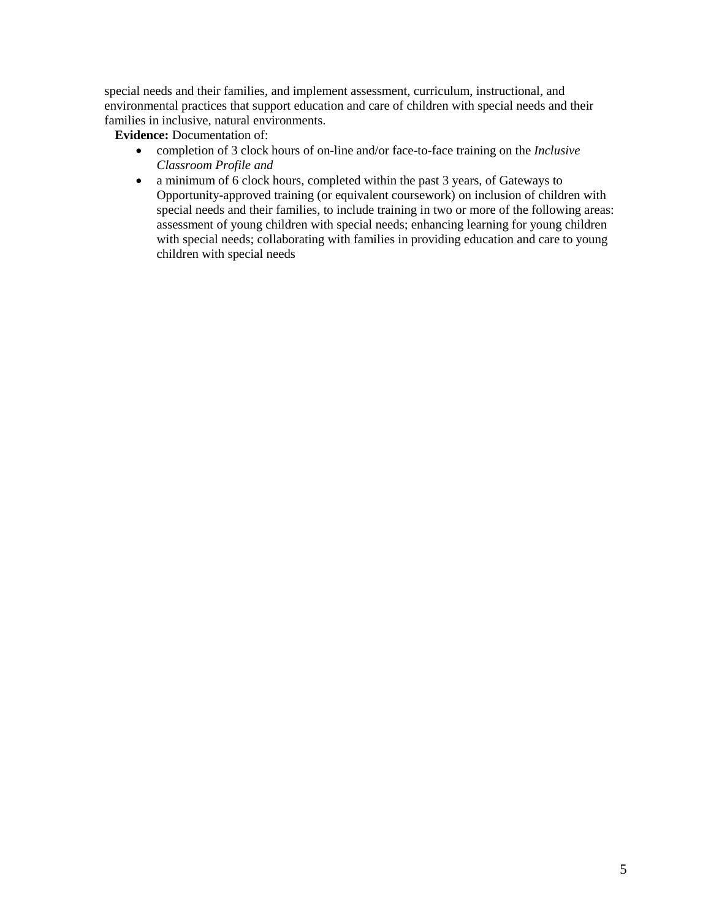special needs and their families, and implement assessment, curriculum, instructional, and environmental practices that support education and care of children with special needs and their families in inclusive, natural environments.

**Evidence:** Documentation of:

- completion of 3 clock hours of on-line and/or face-to-face training on the *Inclusive Classroom Profile and*
- a minimum of 6 clock hours, completed within the past 3 years, of Gateways to Opportunity-approved training (or equivalent coursework) on inclusion of children with special needs and their families, to include training in two or more of the following areas: assessment of young children with special needs; enhancing learning for young children with special needs; collaborating with families in providing education and care to young children with special needs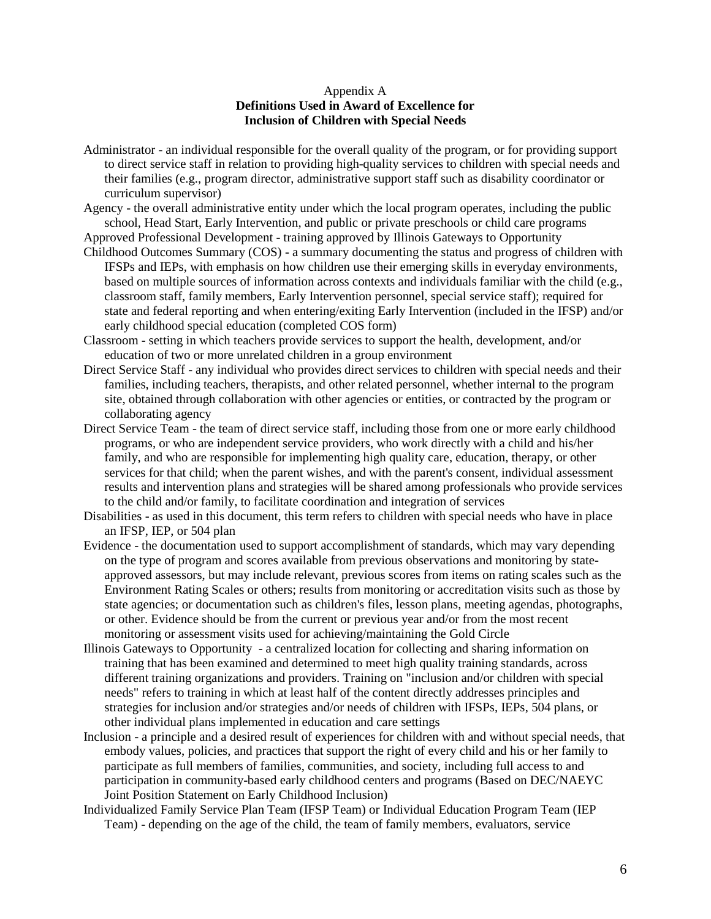#### Appendix A **Definitions Used in Award of Excellence for Inclusion of Children with Special Needs**

- Administrator an individual responsible for the overall quality of the program, or for providing support to direct service staff in relation to providing high-quality services to children with special needs and their families (e.g., program director, administrative support staff such as disability coordinator or curriculum supervisor)
- Agency the overall administrative entity under which the local program operates, including the public school, Head Start, Early Intervention, and public or private preschools or child care programs

Approved Professional Development - training approved by Illinois Gateways to Opportunity

- Childhood Outcomes Summary (COS) a summary documenting the status and progress of children with IFSPs and IEPs, with emphasis on how children use their emerging skills in everyday environments, based on multiple sources of information across contexts and individuals familiar with the child (e.g., classroom staff, family members, Early Intervention personnel, special service staff); required for state and federal reporting and when entering/exiting Early Intervention (included in the IFSP) and/or early childhood special education (completed COS form)
- Classroom setting in which teachers provide services to support the health, development, and/or education of two or more unrelated children in a group environment
- Direct Service Staff any individual who provides direct services to children with special needs and their families, including teachers, therapists, and other related personnel, whether internal to the program site, obtained through collaboration with other agencies or entities, or contracted by the program or collaborating agency
- Direct Service Team the team of direct service staff, including those from one or more early childhood programs, or who are independent service providers, who work directly with a child and his/her family, and who are responsible for implementing high quality care, education, therapy, or other services for that child; when the parent wishes, and with the parent's consent, individual assessment results and intervention plans and strategies will be shared among professionals who provide services to the child and/or family, to facilitate coordination and integration of services
- Disabilities as used in this document, this term refers to children with special needs who have in place an IFSP, IEP, or 504 plan
- Evidence the documentation used to support accomplishment of standards, which may vary depending on the type of program and scores available from previous observations and monitoring by stateapproved assessors, but may include relevant, previous scores from items on rating scales such as the Environment Rating Scales or others; results from monitoring or accreditation visits such as those by state agencies; or documentation such as children's files, lesson plans, meeting agendas, photographs, or other. Evidence should be from the current or previous year and/or from the most recent monitoring or assessment visits used for achieving/maintaining the Gold Circle
- Illinois Gateways to Opportunity a centralized location for collecting and sharing information on training that has been examined and determined to meet high quality training standards, across different training organizations and providers. Training on "inclusion and/or children with special needs" refers to training in which at least half of the content directly addresses principles and strategies for inclusion and/or strategies and/or needs of children with IFSPs, IEPs, 504 plans, or other individual plans implemented in education and care settings
- Inclusion a principle and a desired result of experiences for children with and without special needs, that embody values, policies, and practices that support the right of every child and his or her family to participate as full members of families, communities, and society, including full access to and participation in community-based early childhood centers and programs (Based on DEC/NAEYC Joint Position Statement on Early Childhood Inclusion)
- Individualized Family Service Plan Team (IFSP Team) or Individual Education Program Team (IEP Team) - depending on the age of the child, the team of family members, evaluators, service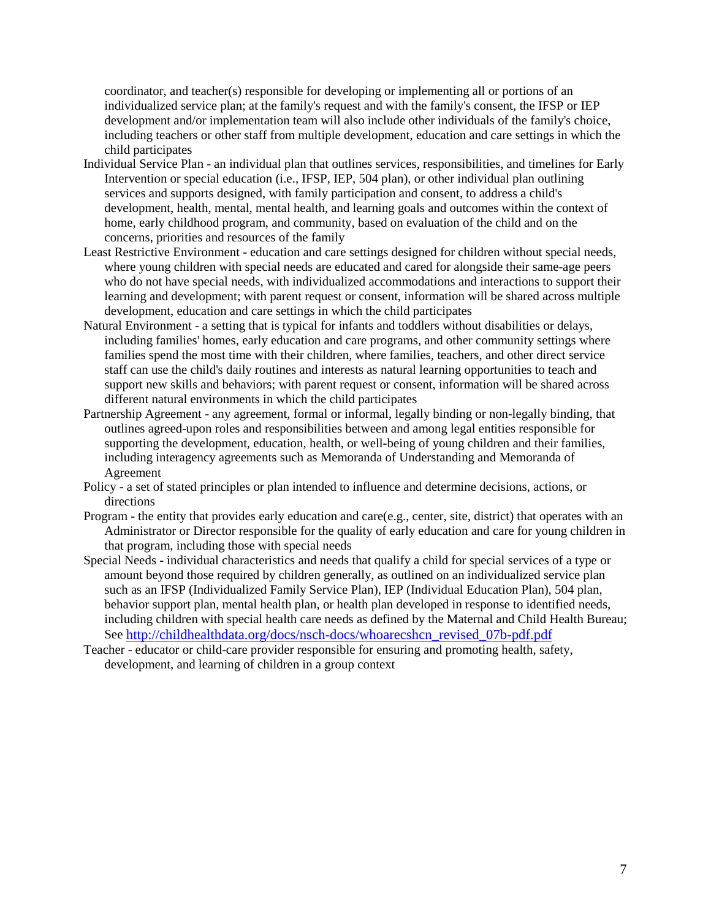coordinator, and teacher(s) responsible for developing or implementing all or portions of an individualized service plan; at the family's request and with the family's consent, the IFSP or IEP development and/or implementation team will also include other individuals of the family's choice, including teachers or other staff from multiple development, education and care settings in which the child participates

- Individual Service Plan an individual plan that outlines services, responsibilities, and timelines for Early Intervention or special education (i.e., IFSP, IEP, 504 plan), or other individual plan outlining services and supports designed, with family participation and consent, to address a child's development, health, mental, mental health, and learning goals and outcomes within the context of home, early childhood program, and community, based on evaluation of the child and on the concerns, priorities and resources of the family
- Least Restrictive Environment education and care settings designed for children without special needs, where young children with special needs are educated and cared for alongside their same-age peers who do not have special needs, with individualized accommodations and interactions to support their learning and development; with parent request or consent, information will be shared across multiple development, education and care settings in which the child participates
- Natural Environment a setting that is typical for infants and toddlers without disabilities or delays, including families' homes, early education and care programs, and other community settings where families spend the most time with their children, where families, teachers, and other direct service staff can use the child's daily routines and interests as natural learning opportunities to teach and support new skills and behaviors; with parent request or consent, information will be shared across different natural environments in which the child participates
- Partnership Agreement any agreement, formal or informal, legally binding or non-legally binding, that outlines agreed-upon roles and responsibilities between and among legal entities responsible for supporting the development, education, health, or well-being of young children and their families, including interagency agreements such as Memoranda of Understanding and Memoranda of Agreement
- Policy a set of stated principles or plan intended to influence and determine decisions, actions, or directions
- Program the entity that provides early education and care(e.g., center, site, district) that operates with an Administrator or Director responsible for the quality of early education and care for young children in that program, including those with special needs
- Special Needs individual characteristics and needs that qualify a child for special services of a type or amount beyond those required by children generally, as outlined on an individualized service plan such as an IFSP (Individualized Family Service Plan), IEP (Individual Education Plan), 504 plan, behavior support plan, mental health plan, or health plan developed in response to identified needs, including children with special health care needs as defined by the Maternal and Child Health Bureau; See [http://childhealthdata.org/docs/nsch-docs/whoarecshcn\\_revised\\_07b-pdf.pdf](http://childhealthdata.org/docs/nsch-docs/whoarecshcn_revised_07b-pdf.pdf)
- Teacher educator or child-care provider responsible for ensuring and promoting health, safety, development, and learning of children in a group context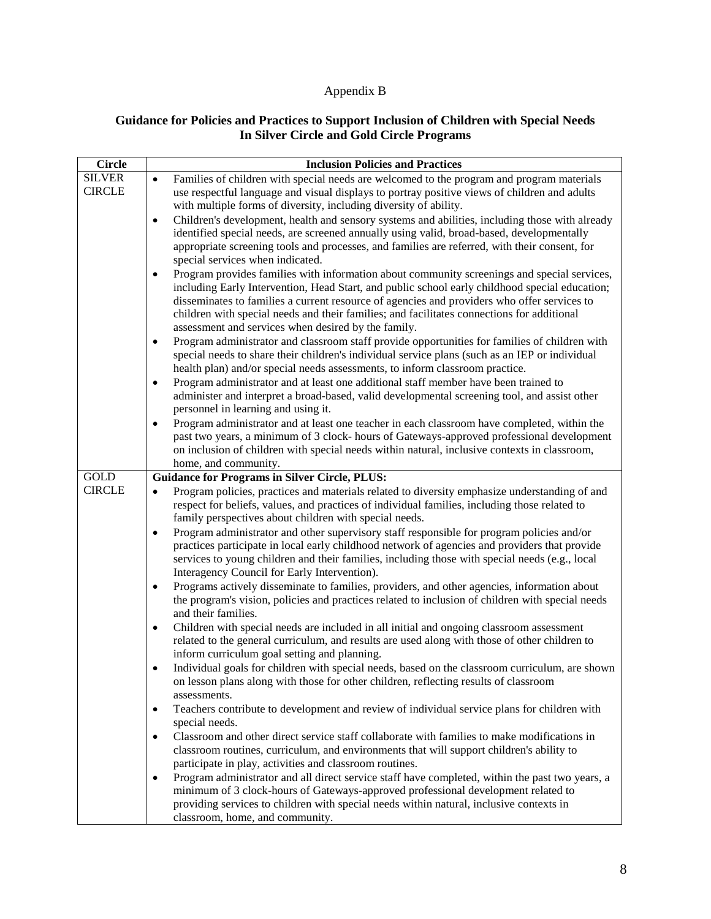# Appendix B

# **Guidance for Policies and Practices to Support Inclusion of Children with Special Needs In Silver Circle and Gold Circle Programs**

| <b>Circle</b>                  | <b>Inclusion Policies and Practices</b>                                                                                                                                                                                                                                                                                                                                                                                                                        |
|--------------------------------|----------------------------------------------------------------------------------------------------------------------------------------------------------------------------------------------------------------------------------------------------------------------------------------------------------------------------------------------------------------------------------------------------------------------------------------------------------------|
| <b>SILVER</b><br><b>CIRCLE</b> | Families of children with special needs are welcomed to the program and program materials<br>$\bullet$<br>use respectful language and visual displays to portray positive views of children and adults<br>with multiple forms of diversity, including diversity of ability.                                                                                                                                                                                    |
|                                | Children's development, health and sensory systems and abilities, including those with already<br>$\bullet$<br>identified special needs, are screened annually using valid, broad-based, developmentally<br>appropriate screening tools and processes, and families are referred, with their consent, for<br>special services when indicated.                                                                                                                  |
|                                | Program provides families with information about community screenings and special services,<br>$\bullet$<br>including Early Intervention, Head Start, and public school early childhood special education;<br>disseminates to families a current resource of agencies and providers who offer services to<br>children with special needs and their families; and facilitates connections for additional<br>assessment and services when desired by the family. |
|                                | Program administrator and classroom staff provide opportunities for families of children with<br>$\bullet$<br>special needs to share their children's individual service plans (such as an IEP or individual<br>health plan) and/or special needs assessments, to inform classroom practice.                                                                                                                                                                   |
|                                | Program administrator and at least one additional staff member have been trained to<br>$\bullet$<br>administer and interpret a broad-based, valid developmental screening tool, and assist other<br>personnel in learning and using it.                                                                                                                                                                                                                        |
|                                | Program administrator and at least one teacher in each classroom have completed, within the<br>$\bullet$<br>past two years, a minimum of 3 clock- hours of Gateways-approved professional development<br>on inclusion of children with special needs within natural, inclusive contexts in classroom,<br>home, and community.                                                                                                                                  |
| <b>GOLD</b>                    | <b>Guidance for Programs in Silver Circle, PLUS:</b>                                                                                                                                                                                                                                                                                                                                                                                                           |
| <b>CIRCLE</b>                  | Program policies, practices and materials related to diversity emphasize understanding of and<br>$\bullet$<br>respect for beliefs, values, and practices of individual families, including those related to<br>family perspectives about children with special needs.                                                                                                                                                                                          |
|                                | Program administrator and other supervisory staff responsible for program policies and/or<br>$\bullet$<br>practices participate in local early childhood network of agencies and providers that provide<br>services to young children and their families, including those with special needs (e.g., local<br>Interagency Council for Early Intervention).                                                                                                      |
|                                | Programs actively disseminate to families, providers, and other agencies, information about<br>$\bullet$<br>the program's vision, policies and practices related to inclusion of children with special needs<br>and their families.                                                                                                                                                                                                                            |
|                                | Children with special needs are included in all initial and ongoing classroom assessment<br>$\bullet$<br>related to the general curriculum, and results are used along with those of other children to<br>inform curriculum goal setting and planning.                                                                                                                                                                                                         |
|                                | Individual goals for children with special needs, based on the classroom curriculum, are shown<br>٠<br>on lesson plans along with those for other children, reflecting results of classroom<br>assessments.                                                                                                                                                                                                                                                    |
|                                | Teachers contribute to development and review of individual service plans for children with<br>special needs.                                                                                                                                                                                                                                                                                                                                                  |
|                                | Classroom and other direct service staff collaborate with families to make modifications in<br>$\bullet$<br>classroom routines, curriculum, and environments that will support children's ability to<br>participate in play, activities and classroom routines.                                                                                                                                                                                                |
|                                | Program administrator and all direct service staff have completed, within the past two years, a<br>$\bullet$<br>minimum of 3 clock-hours of Gateways-approved professional development related to<br>providing services to children with special needs within natural, inclusive contexts in<br>classroom, home, and community.                                                                                                                                |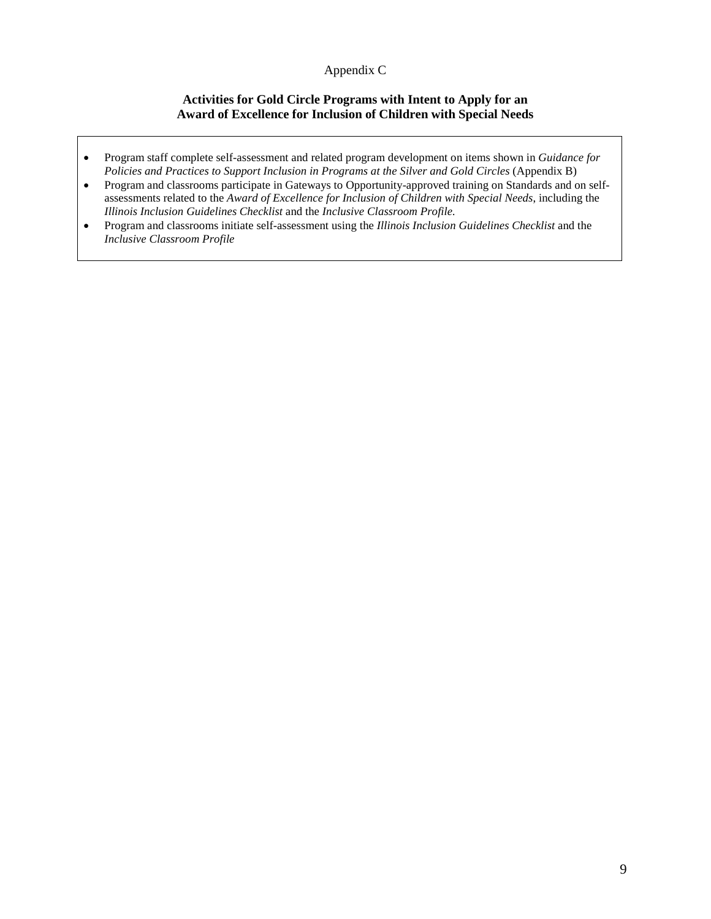# Appendix C

# **Activities for Gold Circle Programs with Intent to Apply for an Award of Excellence for Inclusion of Children with Special Needs**

- Program staff complete self-assessment and related program development on items shown in *Guidance for Policies and Practices to Support Inclusion in Programs at the Silver and Gold Circles* (Appendix B)
- Program and classrooms participate in Gateways to Opportunity-approved training on Standards and on selfassessments related to the *Award of Excellence for Inclusion of Children with Special Needs*, including the *Illinois Inclusion Guidelines Checklist* and the *Inclusive Classroom Profile.*
- Program and classrooms initiate self-assessment using the *Illinois Inclusion Guidelines Checklist* and the *Inclusive Classroom Profile*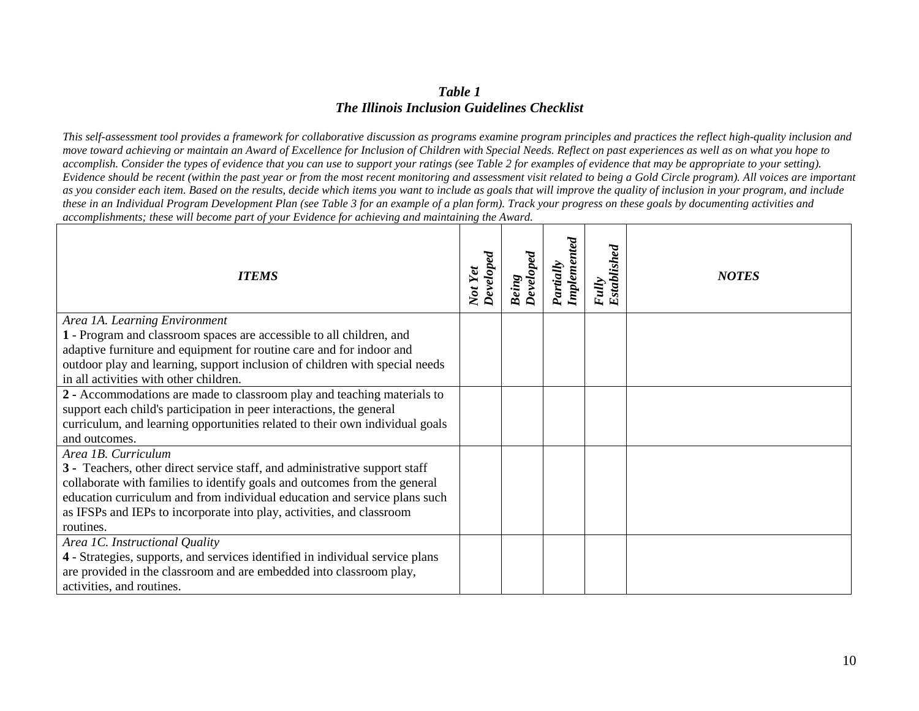# *Table 1 The Illinois Inclusion Guidelines Checklist*

*This self-assessment tool provides a framework for collaborative discussion as programs examine program principles and practices the reflect high-quality inclusion and move toward achieving or maintain an Award of Excellence for Inclusion of Children with Special Needs. Reflect on past experiences as well as on what you hope to accomplish. Consider the types of evidence that you can use to support your ratings (see Table 2 for examples of evidence that may be appropriate to your setting). Evidence should be recent (within the past year or from the most recent monitoring and assessment visit related to being a Gold Circle program). All voices are important* as you consider each item. Based on the results, decide which items you want to include as goals that will *improve the quality of inclusion* in your program, and include *these in an Individual Program Development Plan (see Table 3 for an example of a plan form). Track your progress on these goals by documenting activities and accomplishments; these will become part of your Evidence for achieving and maintaining the Award.*

| <b>ITEMS</b>                                                                                                                                            | Developed<br>Not Yet | Developed<br><b>Being</b> | Implemented<br>Partially | Fully<br>Established | <b>NOTES</b> |
|---------------------------------------------------------------------------------------------------------------------------------------------------------|----------------------|---------------------------|--------------------------|----------------------|--------------|
| Area 1A. Learning Environment<br>1 - Program and classroom spaces are accessible to all children, and                                                   |                      |                           |                          |                      |              |
| adaptive furniture and equipment for routine care and for indoor and                                                                                    |                      |                           |                          |                      |              |
| outdoor play and learning, support inclusion of children with special needs                                                                             |                      |                           |                          |                      |              |
| in all activities with other children.                                                                                                                  |                      |                           |                          |                      |              |
| 2 - Accommodations are made to classroom play and teaching materials to                                                                                 |                      |                           |                          |                      |              |
| support each child's participation in peer interactions, the general                                                                                    |                      |                           |                          |                      |              |
| curriculum, and learning opportunities related to their own individual goals                                                                            |                      |                           |                          |                      |              |
| and outcomes.                                                                                                                                           |                      |                           |                          |                      |              |
| Area 1B. Curriculum                                                                                                                                     |                      |                           |                          |                      |              |
| 3 - Teachers, other direct service staff, and administrative support staff<br>collaborate with families to identify goals and outcomes from the general |                      |                           |                          |                      |              |
| education curriculum and from individual education and service plans such                                                                               |                      |                           |                          |                      |              |
| as IFSPs and IEPs to incorporate into play, activities, and classroom                                                                                   |                      |                           |                          |                      |              |
| routines.                                                                                                                                               |                      |                           |                          |                      |              |
| Area 1C. Instructional Quality                                                                                                                          |                      |                           |                          |                      |              |
| 4 - Strategies, supports, and services identified in individual service plans                                                                           |                      |                           |                          |                      |              |
| are provided in the classroom and are embedded into classroom play,                                                                                     |                      |                           |                          |                      |              |
| activities, and routines.                                                                                                                               |                      |                           |                          |                      |              |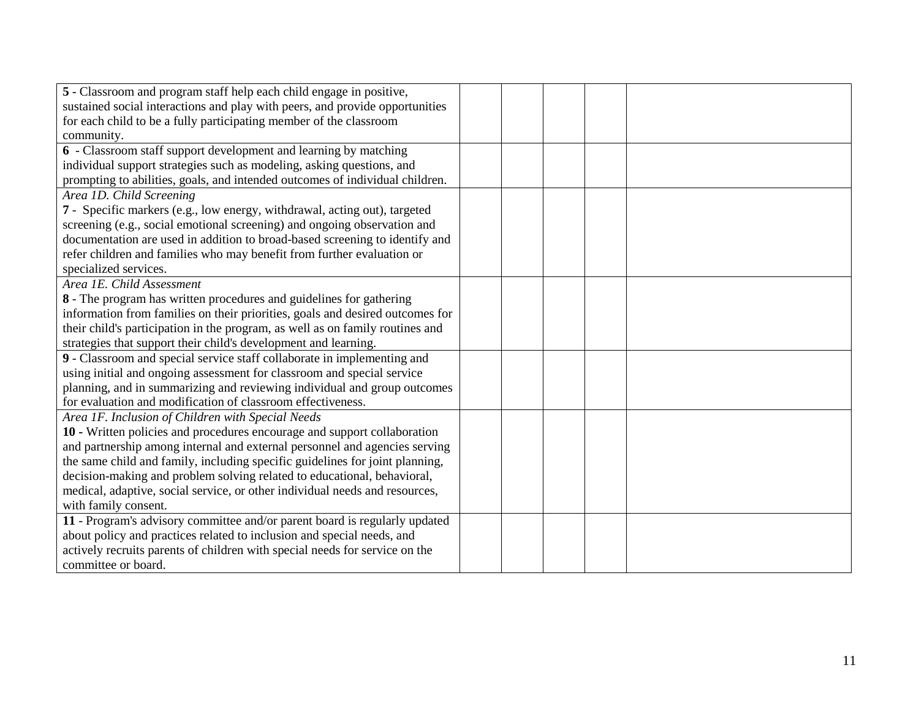| 5 - Classroom and program staff help each child engage in positive,           |  |  |  |
|-------------------------------------------------------------------------------|--|--|--|
| sustained social interactions and play with peers, and provide opportunities  |  |  |  |
| for each child to be a fully participating member of the classroom            |  |  |  |
| community.                                                                    |  |  |  |
| 6 - Classroom staff support development and learning by matching              |  |  |  |
| individual support strategies such as modeling, asking questions, and         |  |  |  |
| prompting to abilities, goals, and intended outcomes of individual children.  |  |  |  |
| Area 1D. Child Screening                                                      |  |  |  |
| 7 - Specific markers (e.g., low energy, withdrawal, acting out), targeted     |  |  |  |
| screening (e.g., social emotional screening) and ongoing observation and      |  |  |  |
| documentation are used in addition to broad-based screening to identify and   |  |  |  |
| refer children and families who may benefit from further evaluation or        |  |  |  |
| specialized services.                                                         |  |  |  |
| Area 1E. Child Assessment                                                     |  |  |  |
| 8 - The program has written procedures and guidelines for gathering           |  |  |  |
| information from families on their priorities, goals and desired outcomes for |  |  |  |
| their child's participation in the program, as well as on family routines and |  |  |  |
| strategies that support their child's development and learning.               |  |  |  |
| 9 - Classroom and special service staff collaborate in implementing and       |  |  |  |
| using initial and ongoing assessment for classroom and special service        |  |  |  |
| planning, and in summarizing and reviewing individual and group outcomes      |  |  |  |
| for evaluation and modification of classroom effectiveness.                   |  |  |  |
| Area 1F. Inclusion of Children with Special Needs                             |  |  |  |
| 10 - Written policies and procedures encourage and support collaboration      |  |  |  |
| and partnership among internal and external personnel and agencies serving    |  |  |  |
| the same child and family, including specific guidelines for joint planning,  |  |  |  |
| decision-making and problem solving related to educational, behavioral,       |  |  |  |
| medical, adaptive, social service, or other individual needs and resources,   |  |  |  |
| with family consent.                                                          |  |  |  |
| 11 - Program's advisory committee and/or parent board is regularly updated    |  |  |  |
| about policy and practices related to inclusion and special needs, and        |  |  |  |
| actively recruits parents of children with special needs for service on the   |  |  |  |
| committee or board.                                                           |  |  |  |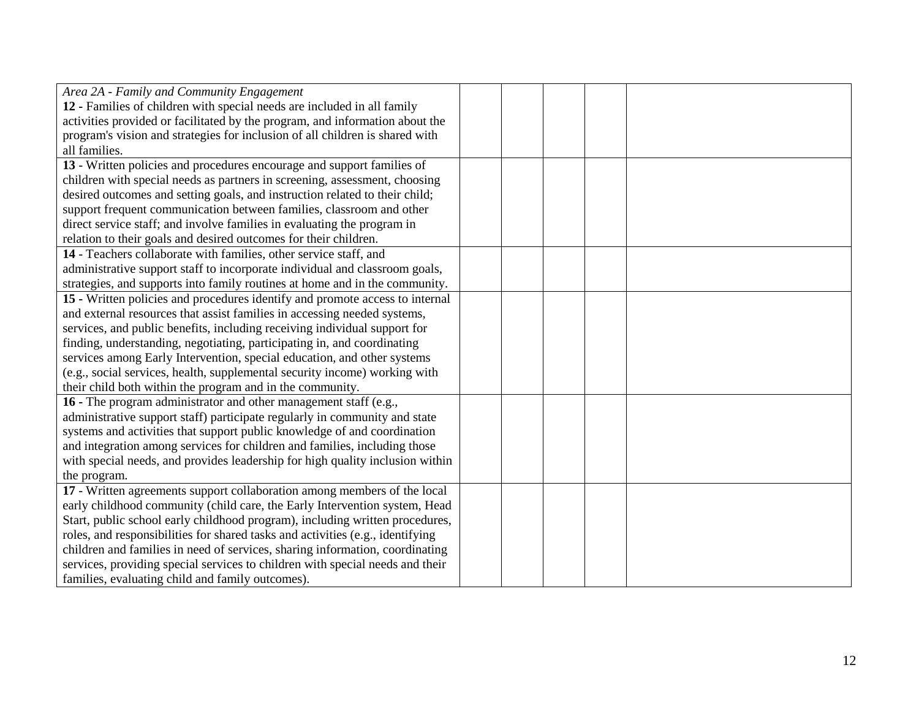| Area 2A - Family and Community Engagement                                      |  |  |  |
|--------------------------------------------------------------------------------|--|--|--|
| 12 - Families of children with special needs are included in all family        |  |  |  |
| activities provided or facilitated by the program, and information about the   |  |  |  |
| program's vision and strategies for inclusion of all children is shared with   |  |  |  |
| all families.                                                                  |  |  |  |
| 13 - Written policies and procedures encourage and support families of         |  |  |  |
| children with special needs as partners in screening, assessment, choosing     |  |  |  |
| desired outcomes and setting goals, and instruction related to their child;    |  |  |  |
| support frequent communication between families, classroom and other           |  |  |  |
| direct service staff; and involve families in evaluating the program in        |  |  |  |
| relation to their goals and desired outcomes for their children.               |  |  |  |
| 14 - Teachers collaborate with families, other service staff, and              |  |  |  |
| administrative support staff to incorporate individual and classroom goals,    |  |  |  |
| strategies, and supports into family routines at home and in the community.    |  |  |  |
| 15 - Written policies and procedures identify and promote access to internal   |  |  |  |
| and external resources that assist families in accessing needed systems,       |  |  |  |
| services, and public benefits, including receiving individual support for      |  |  |  |
| finding, understanding, negotiating, participating in, and coordinating        |  |  |  |
| services among Early Intervention, special education, and other systems        |  |  |  |
| (e.g., social services, health, supplemental security income) working with     |  |  |  |
| their child both within the program and in the community.                      |  |  |  |
| 16 - The program administrator and other management staff (e.g.,               |  |  |  |
| administrative support staff) participate regularly in community and state     |  |  |  |
| systems and activities that support public knowledge of and coordination       |  |  |  |
| and integration among services for children and families, including those      |  |  |  |
| with special needs, and provides leadership for high quality inclusion within  |  |  |  |
| the program.                                                                   |  |  |  |
| 17 - Written agreements support collaboration among members of the local       |  |  |  |
| early childhood community (child care, the Early Intervention system, Head     |  |  |  |
| Start, public school early childhood program), including written procedures,   |  |  |  |
| roles, and responsibilities for shared tasks and activities (e.g., identifying |  |  |  |
| children and families in need of services, sharing information, coordinating   |  |  |  |
| services, providing special services to children with special needs and their  |  |  |  |
| families, evaluating child and family outcomes).                               |  |  |  |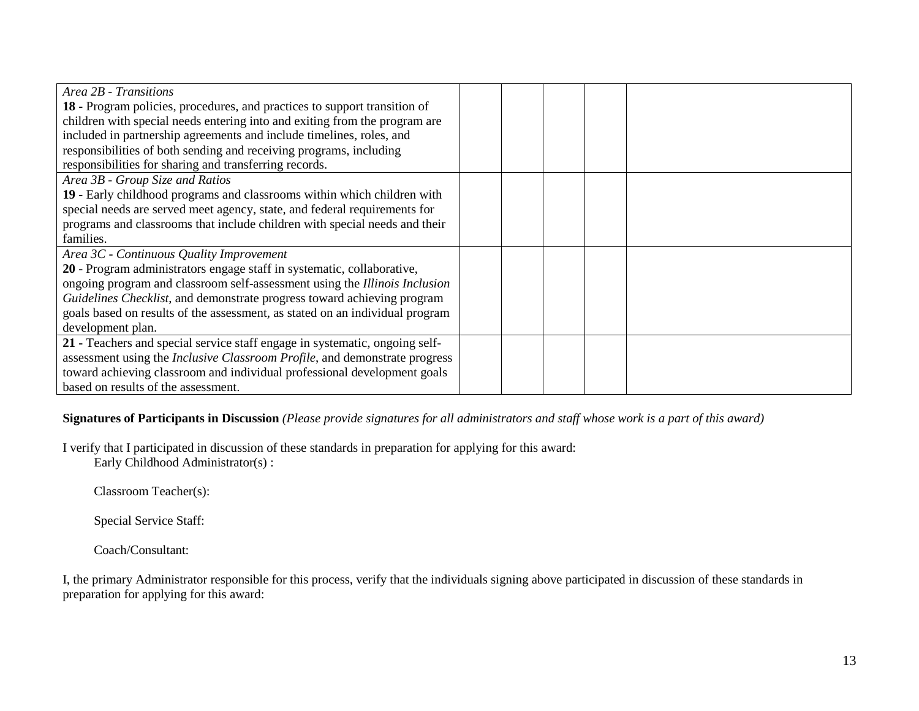| Area 2B - Transitions                                                              |  |  |  |
|------------------------------------------------------------------------------------|--|--|--|
| 18 - Program policies, procedures, and practices to support transition of          |  |  |  |
| children with special needs entering into and exiting from the program are         |  |  |  |
| included in partnership agreements and include timelines, roles, and               |  |  |  |
| responsibilities of both sending and receiving programs, including                 |  |  |  |
| responsibilities for sharing and transferring records.                             |  |  |  |
| Area 3B - Group Size and Ratios                                                    |  |  |  |
| 19 - Early childhood programs and classrooms within which children with            |  |  |  |
| special needs are served meet agency, state, and federal requirements for          |  |  |  |
| programs and classrooms that include children with special needs and their         |  |  |  |
| families.                                                                          |  |  |  |
| Area 3C - Continuous Quality Improvement                                           |  |  |  |
| 20 - Program administrators engage staff in systematic, collaborative,             |  |  |  |
| ongoing program and classroom self-assessment using the Illinois Inclusion         |  |  |  |
| Guidelines Checklist, and demonstrate progress toward achieving program            |  |  |  |
| goals based on results of the assessment, as stated on an individual program       |  |  |  |
| development plan.                                                                  |  |  |  |
| 21 - Teachers and special service staff engage in systematic, ongoing self-        |  |  |  |
| assessment using the <i>Inclusive Classroom Profile</i> , and demonstrate progress |  |  |  |
| toward achieving classroom and individual professional development goals           |  |  |  |
| based on results of the assessment.                                                |  |  |  |

# **Signatures of Participants in Discussion** *(Please provide signatures for all administrators and staff whose work is a part of this award)*

I verify that I participated in discussion of these standards in preparation for applying for this award:

Early Childhood Administrator(s) :

Classroom Teacher(s):

Special Service Staff:

Coach/Consultant:

I, the primary Administrator responsible for this process, verify that the individuals signing above participated in discussion of these standards in preparation for applying for this award: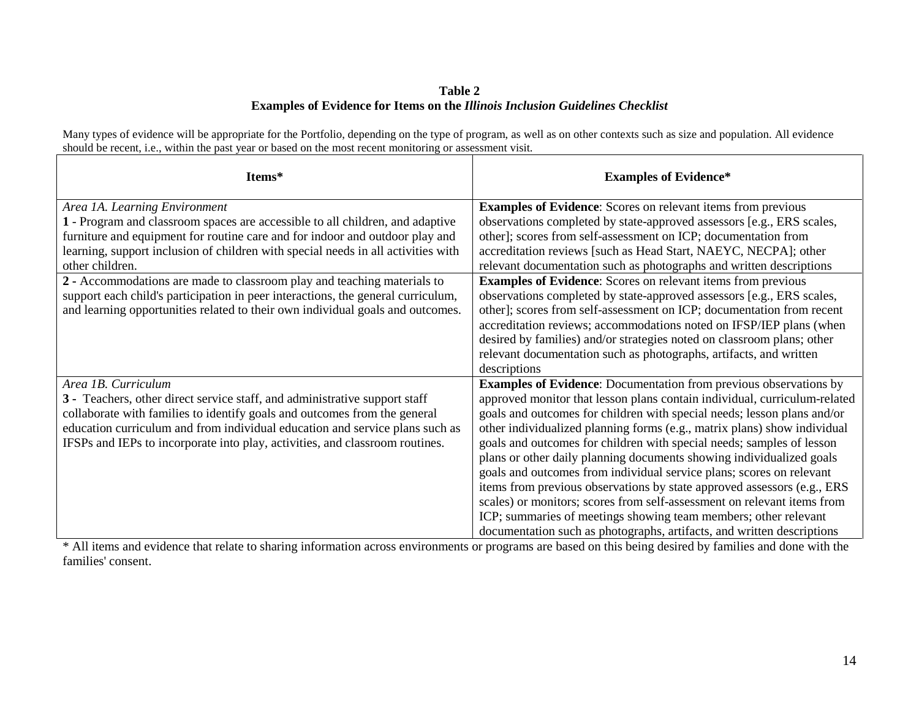## **Table 2 Examples of Evidence for Items on the** *Illinois Inclusion Guidelines Checklist*

Many types of evidence will be appropriate for the Portfolio, depending on the type of program, as well as on other contexts such as size and population. All evidence should be recent, i.e., within the past year or based on the most recent monitoring or assessment visit.

| Items*                                                                            | <b>Examples of Evidence*</b>                                              |
|-----------------------------------------------------------------------------------|---------------------------------------------------------------------------|
| Area 1A. Learning Environment                                                     | <b>Examples of Evidence:</b> Scores on relevant items from previous       |
| 1 - Program and classroom spaces are accessible to all children, and adaptive     | observations completed by state-approved assessors [e.g., ERS scales,     |
| furniture and equipment for routine care and for indoor and outdoor play and      | other]; scores from self-assessment on ICP; documentation from            |
| learning, support inclusion of children with special needs in all activities with | accreditation reviews [such as Head Start, NAEYC, NECPA]; other           |
| other children.                                                                   | relevant documentation such as photographs and written descriptions       |
| 2 - Accommodations are made to classroom play and teaching materials to           | <b>Examples of Evidence:</b> Scores on relevant items from previous       |
| support each child's participation in peer interactions, the general curriculum,  | observations completed by state-approved assessors [e.g., ERS scales,     |
| and learning opportunities related to their own individual goals and outcomes.    | other]; scores from self-assessment on ICP; documentation from recent     |
|                                                                                   | accreditation reviews; accommodations noted on IFSP/IEP plans (when       |
|                                                                                   | desired by families) and/or strategies noted on classroom plans; other    |
|                                                                                   | relevant documentation such as photographs, artifacts, and written        |
|                                                                                   | descriptions                                                              |
| Area 1B. Curriculum                                                               | <b>Examples of Evidence:</b> Documentation from previous observations by  |
| 3 - Teachers, other direct service staff, and administrative support staff        | approved monitor that lesson plans contain individual, curriculum-related |
| collaborate with families to identify goals and outcomes from the general         | goals and outcomes for children with special needs; lesson plans and/or   |
| education curriculum and from individual education and service plans such as      | other individualized planning forms (e.g., matrix plans) show individual  |
| IFSPs and IEPs to incorporate into play, activities, and classroom routines.      | goals and outcomes for children with special needs; samples of lesson     |
|                                                                                   | plans or other daily planning documents showing individualized goals      |
|                                                                                   | goals and outcomes from individual service plans; scores on relevant      |
|                                                                                   | items from previous observations by state approved assessors (e.g., ERS   |
|                                                                                   | scales) or monitors; scores from self-assessment on relevant items from   |
|                                                                                   | ICP; summaries of meetings showing team members; other relevant           |
|                                                                                   | documentation such as photographs, artifacts, and written descriptions    |

\* All items and evidence that relate to sharing information across environments or programs are based on this being desired by families and done with the families' consent.

٦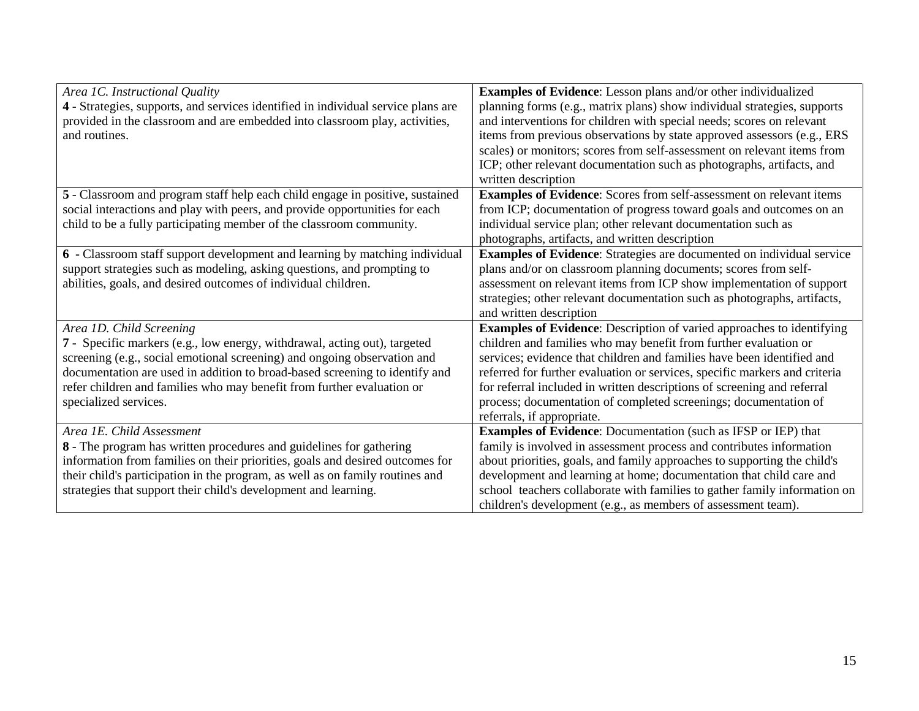| Area 1C. Instructional Quality                                                    | <b>Examples of Evidence:</b> Lesson plans and/or other individualized      |
|-----------------------------------------------------------------------------------|----------------------------------------------------------------------------|
| 4 - Strategies, supports, and services identified in individual service plans are | planning forms (e.g., matrix plans) show individual strategies, supports   |
| provided in the classroom and are embedded into classroom play, activities,       | and interventions for children with special needs; scores on relevant      |
| and routines.                                                                     | items from previous observations by state approved assessors (e.g., ERS    |
|                                                                                   | scales) or monitors; scores from self-assessment on relevant items from    |
|                                                                                   | ICP; other relevant documentation such as photographs, artifacts, and      |
|                                                                                   | written description                                                        |
| 5 - Classroom and program staff help each child engage in positive, sustained     | <b>Examples of Evidence:</b> Scores from self-assessment on relevant items |
| social interactions and play with peers, and provide opportunities for each       | from ICP; documentation of progress toward goals and outcomes on an        |
| child to be a fully participating member of the classroom community.              | individual service plan; other relevant documentation such as              |
|                                                                                   | photographs, artifacts, and written description                            |
| 6 - Classroom staff support development and learning by matching individual       | Examples of Evidence: Strategies are documented on individual service      |
| support strategies such as modeling, asking questions, and prompting to           | plans and/or on classroom planning documents; scores from self-            |
| abilities, goals, and desired outcomes of individual children.                    | assessment on relevant items from ICP show implementation of support       |
|                                                                                   | strategies; other relevant documentation such as photographs, artifacts,   |
|                                                                                   | and written description                                                    |
| Area 1D. Child Screening                                                          | Examples of Evidence: Description of varied approaches to identifying      |
| 7 - Specific markers (e.g., low energy, withdrawal, acting out), targeted         | children and families who may benefit from further evaluation or           |
| screening (e.g., social emotional screening) and ongoing observation and          | services; evidence that children and families have been identified and     |
| documentation are used in addition to broad-based screening to identify and       | referred for further evaluation or services, specific markers and criteria |
| refer children and families who may benefit from further evaluation or            | for referral included in written descriptions of screening and referral    |
| specialized services.                                                             | process; documentation of completed screenings; documentation of           |
|                                                                                   | referrals, if appropriate.                                                 |
| Area 1E. Child Assessment                                                         | <b>Examples of Evidence:</b> Documentation (such as IFSP or IEP) that      |
| 8 - The program has written procedures and guidelines for gathering               | family is involved in assessment process and contributes information       |
| information from families on their priorities, goals and desired outcomes for     | about priorities, goals, and family approaches to supporting the child's   |
| their child's participation in the program, as well as on family routines and     | development and learning at home; documentation that child care and        |
| strategies that support their child's development and learning.                   | school teachers collaborate with families to gather family information on  |
|                                                                                   | children's development (e.g., as members of assessment team).              |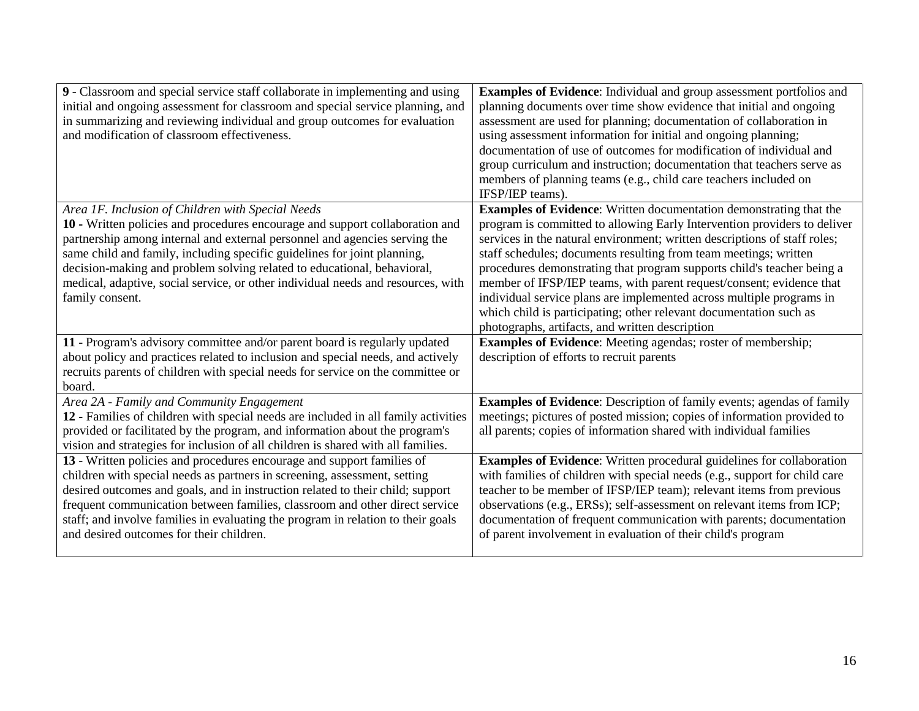| 9 - Classroom and special service staff collaborate in implementing and using<br>initial and ongoing assessment for classroom and special service planning, and<br>in summarizing and reviewing individual and group outcomes for evaluation<br>and modification of classroom effectiveness.                                                                                                                                                                                  | <b>Examples of Evidence:</b> Individual and group assessment portfolios and<br>planning documents over time show evidence that initial and ongoing<br>assessment are used for planning; documentation of collaboration in<br>using assessment information for initial and ongoing planning;                                                                                                                                                                                                                                                                                                                                                               |
|-------------------------------------------------------------------------------------------------------------------------------------------------------------------------------------------------------------------------------------------------------------------------------------------------------------------------------------------------------------------------------------------------------------------------------------------------------------------------------|-----------------------------------------------------------------------------------------------------------------------------------------------------------------------------------------------------------------------------------------------------------------------------------------------------------------------------------------------------------------------------------------------------------------------------------------------------------------------------------------------------------------------------------------------------------------------------------------------------------------------------------------------------------|
|                                                                                                                                                                                                                                                                                                                                                                                                                                                                               | documentation of use of outcomes for modification of individual and<br>group curriculum and instruction; documentation that teachers serve as<br>members of planning teams (e.g., child care teachers included on<br>IFSP/IEP teams).                                                                                                                                                                                                                                                                                                                                                                                                                     |
| Area 1F. Inclusion of Children with Special Needs<br>10 - Written policies and procedures encourage and support collaboration and<br>partnership among internal and external personnel and agencies serving the<br>same child and family, including specific guidelines for joint planning,<br>decision-making and problem solving related to educational, behavioral,<br>medical, adaptive, social service, or other individual needs and resources, with<br>family consent. | <b>Examples of Evidence:</b> Written documentation demonstrating that the<br>program is committed to allowing Early Intervention providers to deliver<br>services in the natural environment; written descriptions of staff roles;<br>staff schedules; documents resulting from team meetings; written<br>procedures demonstrating that program supports child's teacher being a<br>member of IFSP/IEP teams, with parent request/consent; evidence that<br>individual service plans are implemented across multiple programs in<br>which child is participating; other relevant documentation such as<br>photographs, artifacts, and written description |
| 11 - Program's advisory committee and/or parent board is regularly updated<br>about policy and practices related to inclusion and special needs, and actively<br>recruits parents of children with special needs for service on the committee or<br>board.                                                                                                                                                                                                                    | <b>Examples of Evidence:</b> Meeting agendas; roster of membership;<br>description of efforts to recruit parents                                                                                                                                                                                                                                                                                                                                                                                                                                                                                                                                          |
| Area 2A - Family and Community Engagement<br>12 - Families of children with special needs are included in all family activities<br>provided or facilitated by the program, and information about the program's<br>vision and strategies for inclusion of all children is shared with all families.                                                                                                                                                                            | Examples of Evidence: Description of family events; agendas of family<br>meetings; pictures of posted mission; copies of information provided to<br>all parents; copies of information shared with individual families                                                                                                                                                                                                                                                                                                                                                                                                                                    |
| 13 - Written policies and procedures encourage and support families of<br>children with special needs as partners in screening, assessment, setting<br>desired outcomes and goals, and in instruction related to their child; support<br>frequent communication between families, classroom and other direct service<br>staff; and involve families in evaluating the program in relation to their goals<br>and desired outcomes for their children.                          | <b>Examples of Evidence:</b> Written procedural guidelines for collaboration<br>with families of children with special needs (e.g., support for child care<br>teacher to be member of IFSP/IEP team); relevant items from previous<br>observations (e.g., ERSs); self-assessment on relevant items from ICP;<br>documentation of frequent communication with parents; documentation<br>of parent involvement in evaluation of their child's program                                                                                                                                                                                                       |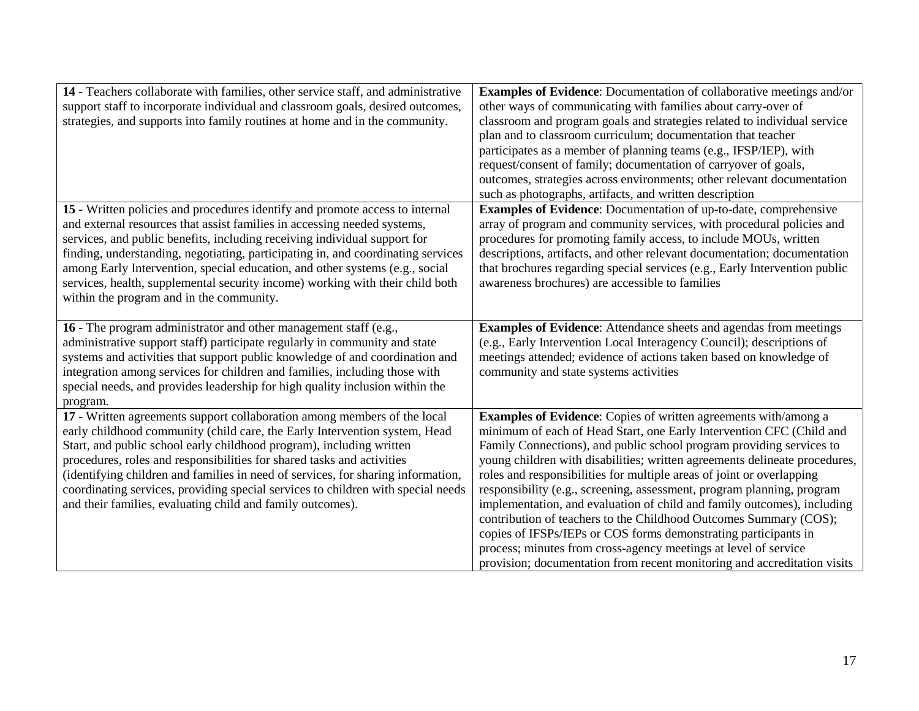| 14 - Teachers collaborate with families, other service staff, and administrative<br>support staff to incorporate individual and classroom goals, desired outcomes,<br>strategies, and supports into family routines at home and in the community.                                                                                                                                                                                                                                                                                              | <b>Examples of Evidence:</b> Documentation of collaborative meetings and/or<br>other ways of communicating with families about carry-over of<br>classroom and program goals and strategies related to individual service<br>plan and to classroom curriculum; documentation that teacher<br>participates as a member of planning teams (e.g., IFSP/IEP), with<br>request/consent of family; documentation of carryover of goals,<br>outcomes, strategies across environments; other relevant documentation<br>such as photographs, artifacts, and written description                                                                                                                                                                                                                                              |
|------------------------------------------------------------------------------------------------------------------------------------------------------------------------------------------------------------------------------------------------------------------------------------------------------------------------------------------------------------------------------------------------------------------------------------------------------------------------------------------------------------------------------------------------|--------------------------------------------------------------------------------------------------------------------------------------------------------------------------------------------------------------------------------------------------------------------------------------------------------------------------------------------------------------------------------------------------------------------------------------------------------------------------------------------------------------------------------------------------------------------------------------------------------------------------------------------------------------------------------------------------------------------------------------------------------------------------------------------------------------------|
| 15 - Written policies and procedures identify and promote access to internal<br>and external resources that assist families in accessing needed systems,<br>services, and public benefits, including receiving individual support for<br>finding, understanding, negotiating, participating in, and coordinating services<br>among Early Intervention, special education, and other systems (e.g., social<br>services, health, supplemental security income) working with their child both<br>within the program and in the community.         | <b>Examples of Evidence:</b> Documentation of up-to-date, comprehensive<br>array of program and community services, with procedural policies and<br>procedures for promoting family access, to include MOUs, written<br>descriptions, artifacts, and other relevant documentation; documentation<br>that brochures regarding special services (e.g., Early Intervention public<br>awareness brochures) are accessible to families                                                                                                                                                                                                                                                                                                                                                                                  |
| <b>16</b> - The program administrator and other management staff (e.g.,<br>administrative support staff) participate regularly in community and state<br>systems and activities that support public knowledge of and coordination and<br>integration among services for children and families, including those with<br>special needs, and provides leadership for high quality inclusion within the<br>program.                                                                                                                                | <b>Examples of Evidence:</b> Attendance sheets and agendas from meetings<br>(e.g., Early Intervention Local Interagency Council); descriptions of<br>meetings attended; evidence of actions taken based on knowledge of<br>community and state systems activities                                                                                                                                                                                                                                                                                                                                                                                                                                                                                                                                                  |
| 17 - Written agreements support collaboration among members of the local<br>early childhood community (child care, the Early Intervention system, Head<br>Start, and public school early childhood program), including written<br>procedures, roles and responsibilities for shared tasks and activities<br>(identifying children and families in need of services, for sharing information,<br>coordinating services, providing special services to children with special needs<br>and their families, evaluating child and family outcomes). | Examples of Evidence: Copies of written agreements with/among a<br>minimum of each of Head Start, one Early Intervention CFC (Child and<br>Family Connections), and public school program providing services to<br>young children with disabilities; written agreements delineate procedures,<br>roles and responsibilities for multiple areas of joint or overlapping<br>responsibility (e.g., screening, assessment, program planning, program<br>implementation, and evaluation of child and family outcomes), including<br>contribution of teachers to the Childhood Outcomes Summary (COS);<br>copies of IFSPs/IEPs or COS forms demonstrating participants in<br>process; minutes from cross-agency meetings at level of service<br>provision; documentation from recent monitoring and accreditation visits |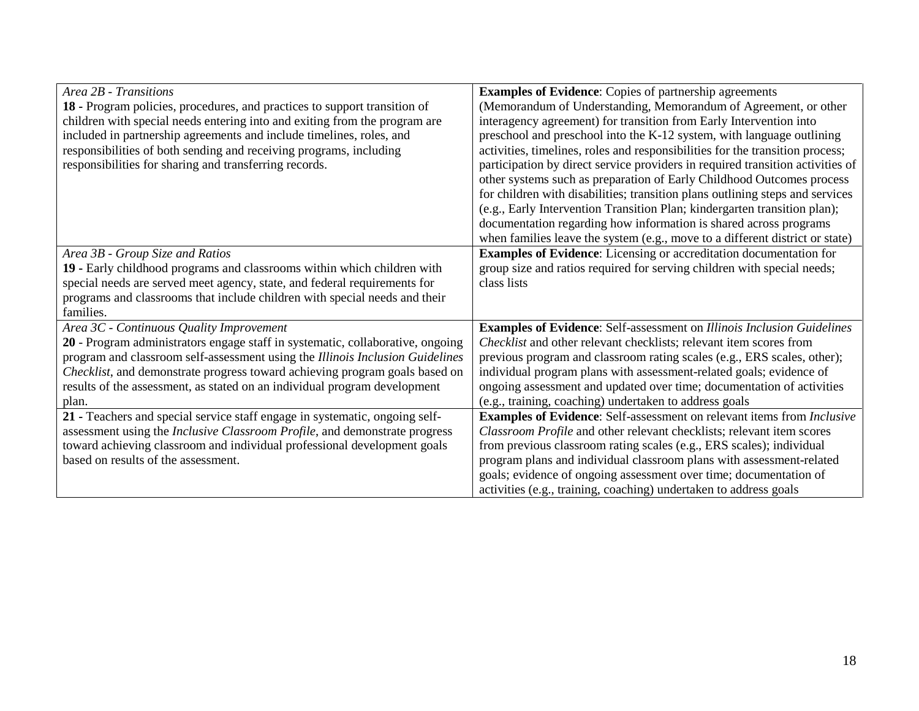| Area 2B - Transitions                                                          | <b>Examples of Evidence:</b> Copies of partnership agreements                        |
|--------------------------------------------------------------------------------|--------------------------------------------------------------------------------------|
| 18 - Program policies, procedures, and practices to support transition of      | (Memorandum of Understanding, Memorandum of Agreement, or other                      |
| children with special needs entering into and exiting from the program are     | interagency agreement) for transition from Early Intervention into                   |
| included in partnership agreements and include timelines, roles, and           | preschool and preschool into the K-12 system, with language outlining                |
| responsibilities of both sending and receiving programs, including             | activities, timelines, roles and responsibilities for the transition process;        |
| responsibilities for sharing and transferring records.                         | participation by direct service providers in required transition activities of       |
|                                                                                | other systems such as preparation of Early Childhood Outcomes process                |
|                                                                                | for children with disabilities; transition plans outlining steps and services        |
|                                                                                | (e.g., Early Intervention Transition Plan; kindergarten transition plan);            |
|                                                                                | documentation regarding how information is shared across programs                    |
|                                                                                | when families leave the system (e.g., move to a different district or state)         |
| Area 3B - Group Size and Ratios                                                | <b>Examples of Evidence:</b> Licensing or accreditation documentation for            |
| 19 - Early childhood programs and classrooms within which children with        | group size and ratios required for serving children with special needs;              |
| special needs are served meet agency, state, and federal requirements for      | class lists                                                                          |
| programs and classrooms that include children with special needs and their     |                                                                                      |
| families.                                                                      |                                                                                      |
| Area 3C - Continuous Quality Improvement                                       | <b>Examples of Evidence:</b> Self-assessment on Illinois Inclusion Guidelines        |
| 20 - Program administrators engage staff in systematic, collaborative, ongoing | Checklist and other relevant checklists; relevant item scores from                   |
| program and classroom self-assessment using the Illinois Inclusion Guidelines  | previous program and classroom rating scales (e.g., ERS scales, other);              |
| Checklist, and demonstrate progress toward achieving program goals based on    | individual program plans with assessment-related goals; evidence of                  |
| results of the assessment, as stated on an individual program development      | ongoing assessment and updated over time; documentation of activities                |
| plan.                                                                          | (e.g., training, coaching) undertaken to address goals                               |
| 21 - Teachers and special service staff engage in systematic, ongoing self-    | <b>Examples of Evidence:</b> Self-assessment on relevant items from <i>Inclusive</i> |
| assessment using the Inclusive Classroom Profile, and demonstrate progress     | Classroom Profile and other relevant checklists; relevant item scores                |
| toward achieving classroom and individual professional development goals       | from previous classroom rating scales (e.g., ERS scales); individual                 |
| based on results of the assessment.                                            | program plans and individual classroom plans with assessment-related                 |
|                                                                                | goals; evidence of ongoing assessment over time; documentation of                    |
|                                                                                | activities (e.g., training, coaching) undertaken to address goals                    |